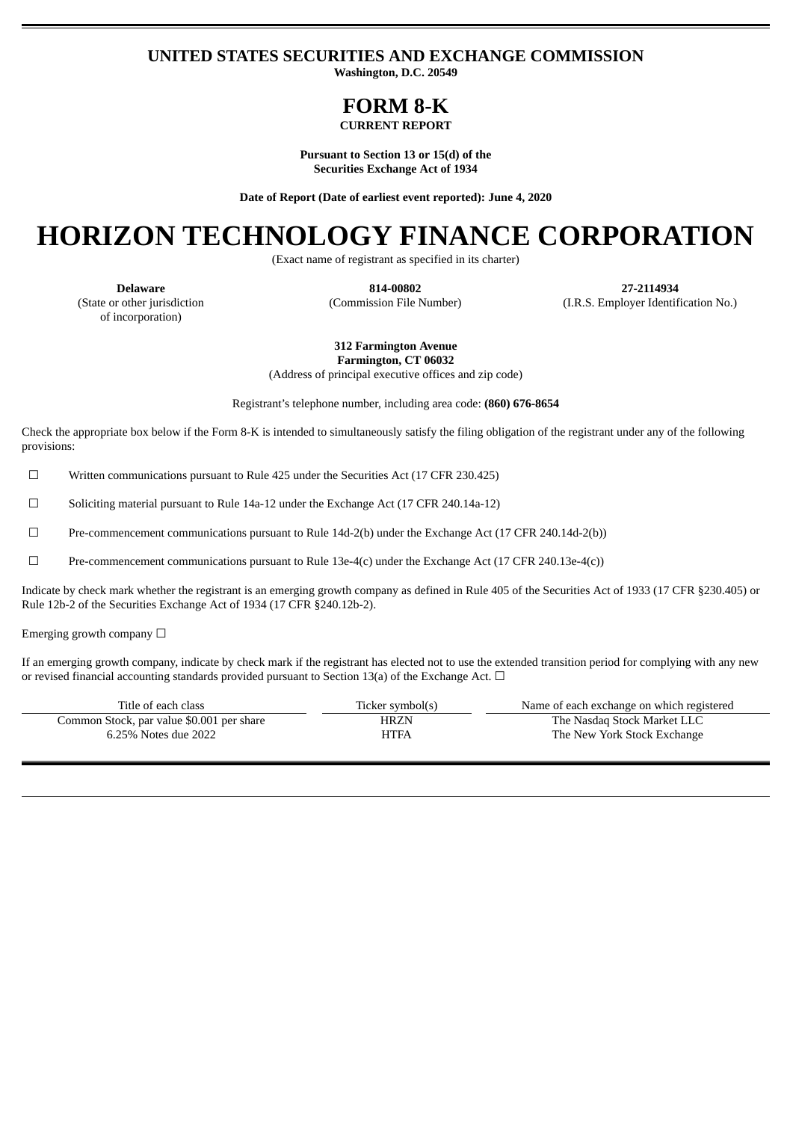### **UNITED STATES SECURITIES AND EXCHANGE COMMISSION**

**Washington, D.C. 20549**

## **FORM 8-K**

**CURRENT REPORT**

**Pursuant to Section 13 or 15(d) of the Securities Exchange Act of 1934**

**Date of Report (Date of earliest event reported): June 4, 2020**

# **HORIZON TECHNOLOGY FINANCE CORPORATION**

(Exact name of registrant as specified in its charter)

**Delaware 814-00802 27-2114934** (Commission File Number) (I.R.S. Employer Identification No.)

(State or other jurisdiction of incorporation)

**312 Farmington Avenue Farmington, CT 06032**

(Address of principal executive offices and zip code)

Registrant's telephone number, including area code: **(860) 676-8654**

Check the appropriate box below if the Form 8-K is intended to simultaneously satisfy the filing obligation of the registrant under any of the following provisions:

☐ Written communications pursuant to Rule 425 under the Securities Act (17 CFR 230.425)

 $\Box$  Soliciting material pursuant to Rule 14a-12 under the Exchange Act (17 CFR 240.14a-12)

☐ Pre-commencement communications pursuant to Rule 14d-2(b) under the Exchange Act (17 CFR 240.14d-2(b))

☐ Pre-commencement communications pursuant to Rule 13e-4(c) under the Exchange Act (17 CFR 240.13e-4(c))

Indicate by check mark whether the registrant is an emerging growth company as defined in Rule 405 of the Securities Act of 1933 (17 CFR §230.405) or Rule 12b-2 of the Securities Exchange Act of 1934 (17 CFR §240.12b-2).

Emerging growth company  $\Box$ 

If an emerging growth company, indicate by check mark if the registrant has elected not to use the extended transition period for complying with any new or revised financial accounting standards provided pursuant to Section 13(a) of the Exchange Act.  $\Box$ 

| Title of each class                       | Ticker symbol(s) | Name of each exchange on which registered |
|-------------------------------------------|------------------|-------------------------------------------|
| Common Stock, par value \$0.001 per share | <b>HRZN</b>      | The Nasdag Stock Market LLC               |
| 6.25% Notes due 2022                      | HTFA             | The New York Stock Exchange               |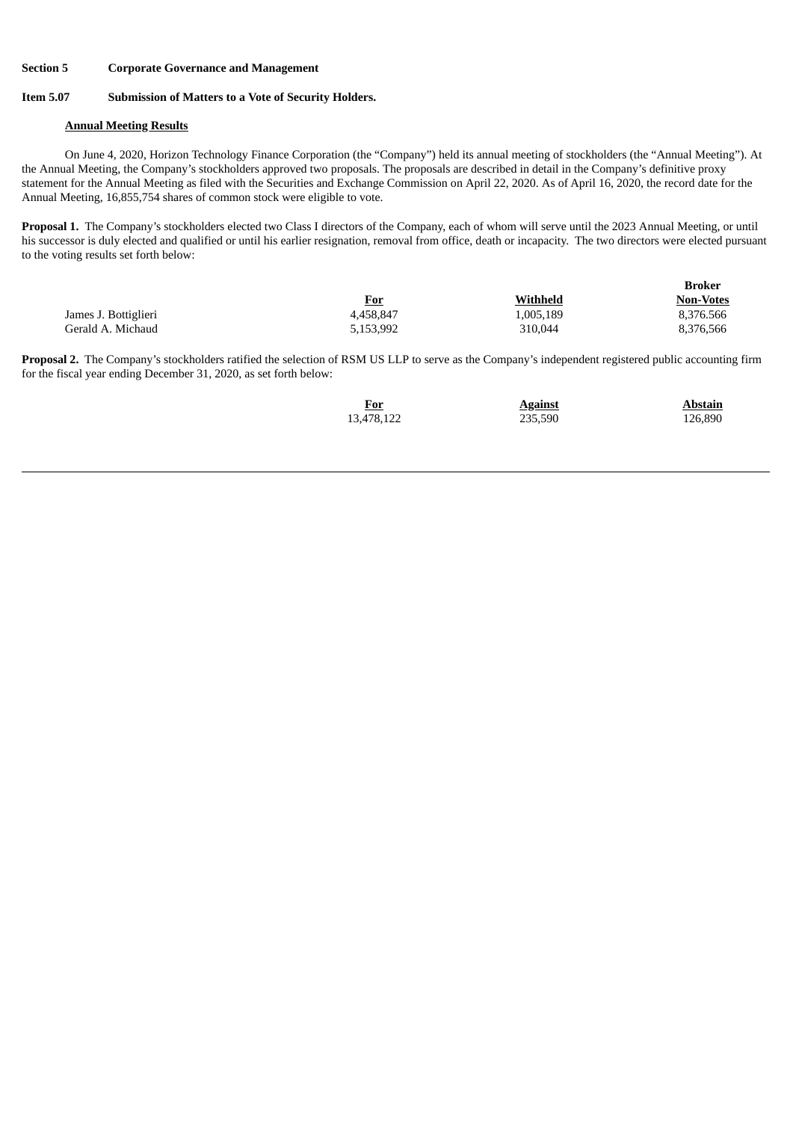#### **Section 5 Corporate Governance and Management**

#### **Item 5.07 Submission of Matters to a Vote of Security Holders.**

#### **Annual Meeting Results**

On June 4, 2020, Horizon Technology Finance Corporation (the "Company") held its annual meeting of stockholders (the "Annual Meeting"). At the Annual Meeting, the Company's stockholders approved two proposals. The proposals are described in detail in the Company's definitive proxy statement for the Annual Meeting as filed with the Securities and Exchange Commission on April 22, 2020. As of April 16, 2020, the record date for the Annual Meeting, 16,855,754 shares of common stock were eligible to vote.

**Proposal 1.** The Company's stockholders elected two Class I directors of the Company, each of whom will serve until the 2023 Annual Meeting, or until his successor is duly elected and qualified or until his earlier resignation, removal from office, death or incapacity. The two directors were elected pursuant to the voting results set forth below:

|                      |            |           | Broker           |
|----------------------|------------|-----------|------------------|
|                      | <u>For</u> | Withheld  | <b>Non-Votes</b> |
| James J. Bottiglieri | 4,458,847  | 1,005,189 | 8,376.566        |
| Gerald A. Michaud    | 5,153,992  | 310,044   | 8,376,566        |

**Proposal 2.** The Company's stockholders ratified the selection of RSM US LLP to serve as the Company's independent registered public accounting firm for the fiscal year ending December 31, 2020, as set forth below:

| For<br>$\overline{\phantom{a}}$ | <b>Against</b> | <b>Abstain</b> |
|---------------------------------|----------------|----------------|
| 13,478,122                      | 235,590        | 126,890        |